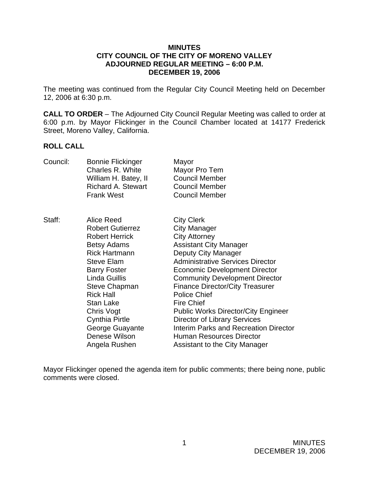### **MINUTES CITY COUNCIL OF THE CITY OF MORENO VALLEY ADJOURNED REGULAR MEETING – 6:00 P.M. DECEMBER 19, 2006**

The meeting was continued from the Regular City Council Meeting held on December 12, 2006 at 6:30 p.m.

**CALL TO ORDER** – The Adjourned City Council Regular Meeting was called to order at 6:00 p.m. by Mayor Flickinger in the Council Chamber located at 14177 Frederick Street, Moreno Valley, California.

#### **ROLL CALL**

| Council: | <b>Bonnie Flickinger</b><br>Charles R. White<br>William H. Batey, II<br><b>Richard A. Stewart</b><br><b>Frank West</b>                                                                                                                                                                                                                | Mayor<br>Mayor Pro Tem<br><b>Council Member</b><br><b>Council Member</b><br><b>Council Member</b>                                                                                                                                                                                                                                                                                                                                                                                                                                            |
|----------|---------------------------------------------------------------------------------------------------------------------------------------------------------------------------------------------------------------------------------------------------------------------------------------------------------------------------------------|----------------------------------------------------------------------------------------------------------------------------------------------------------------------------------------------------------------------------------------------------------------------------------------------------------------------------------------------------------------------------------------------------------------------------------------------------------------------------------------------------------------------------------------------|
| Staff:   | Alice Reed<br><b>Robert Gutierrez</b><br><b>Robert Herrick</b><br><b>Betsy Adams</b><br><b>Rick Hartmann</b><br><b>Steve Elam</b><br><b>Barry Foster</b><br>Linda Guillis<br><b>Steve Chapman</b><br><b>Rick Hall</b><br><b>Stan Lake</b><br>Chris Vogt<br><b>Cynthia Pirtle</b><br>George Guayante<br>Denese Wilson<br>Angela Rushen | <b>City Clerk</b><br><b>City Manager</b><br><b>City Attorney</b><br><b>Assistant City Manager</b><br>Deputy City Manager<br><b>Administrative Services Director</b><br><b>Economic Development Director</b><br><b>Community Development Director</b><br><b>Finance Director/City Treasurer</b><br><b>Police Chief</b><br><b>Fire Chief</b><br><b>Public Works Director/City Engineer</b><br><b>Director of Library Services</b><br>Interim Parks and Recreation Director<br><b>Human Resources Director</b><br>Assistant to the City Manager |

Mayor Flickinger opened the agenda item for public comments; there being none, public comments were closed.